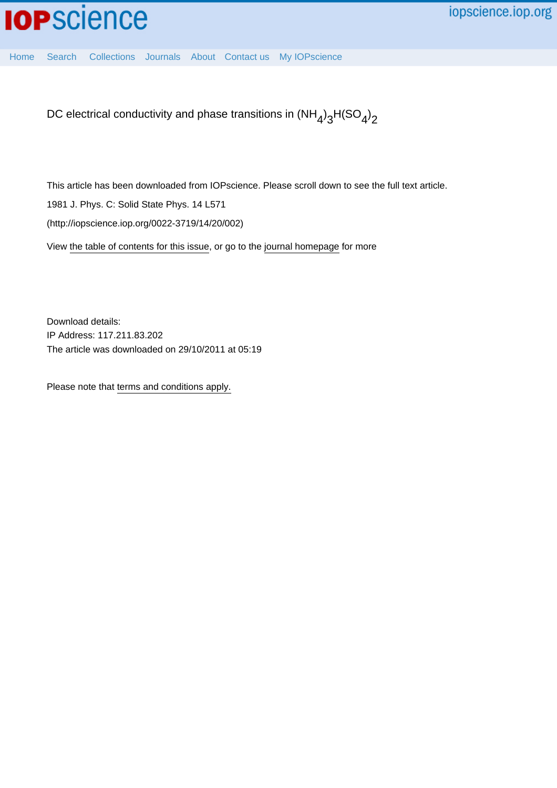

[Home](http://iopscience.iop.org/) [Search](http://iopscience.iop.org/search) [Collections](http://iopscience.iop.org/collections) [Journals](http://iopscience.iop.org/journals) [About](http://iopscience.iop.org/page/aboutioppublishing) [Contact us](http://iopscience.iop.org/contact) [My IOPscience](http://iopscience.iop.org/myiopscience)

DC electrical conductivity and phase transitions in (NH<sub>4</sub>)<sub>3</sub>H(SO<sub>4</sub>)<sub>2</sub>

This article has been downloaded from IOPscience. Please scroll down to see the full text article.

1981 J. Phys. C: Solid State Phys. 14 L571

(http://iopscience.iop.org/0022-3719/14/20/002)

View [the table of contents for this issue](http://iopscience.iop.org/0022-3719/14/20), or go to the [journal homepage](http://iopscience.iop.org/0022-3719) for more

Download details: IP Address: 117.211.83.202 The article was downloaded on 29/10/2011 at 05:19

Please note that [terms and conditions apply.](http://iopscience.iop.org/page/terms)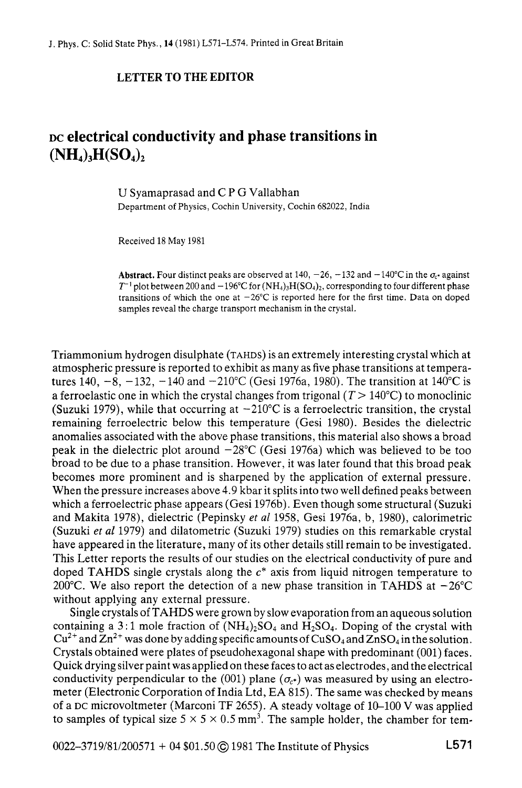## **LETTER TO THE EDITOR**

## **DC electrical conductivity and phase transitions in**   $(NH_4)$ <sub>3</sub> $H(SO_4)$ <sub>2</sub>

U Syamaprasad and C P G Vallabhan Department of Physics, Cochin University, Cochin 682022, India

Received 18 May 1981

**Abstract.** Four distinct peaks are observed at 140,  $-26$ ,  $-132$  and  $-140^{\circ}$ C in the  $\sigma_{\rm c}$  against  $T^{-1}$  plot between 200 and  $-196^{\circ}$ C for  $(NH_4)$ <sub>1</sub> $H(SO_4)$ <sub>2</sub>, corresponding to four different phase transitions of which the one at  $-26^{\circ}$ C is reported here for the first time. Data on doped samples reveal the charge transport mechanism in the crystal.

Triammonium hydrogen disulphate (TAHDS) is an extremely interesting crystal which at atmospheric pressure is reported to exhibit as many as five phase transitions at temperatures 140,  $-8$ ,  $-132$ ,  $-140$  and  $-210^{\circ}$ C (Gesi 1976a, 1980). The transition at 140<sup>o</sup>C is a ferroelastic one in which the crystal changes from trigonal  $(T > 140^{\circ}C)$  to monoclinic (Suzuki 1979), while that occurring at  $-210^{\circ}$ C is a ferroelectric transition, the crystal remaining ferroelectric below this temperature (Gesi 1980). Besides the dielectric anomalies associated with the above phase transitions, this material also shows a broad peak in the dielectric plot around  $-28^{\circ}$ C (Gesi 1976a) which was believed to be too broad to be due to a phase transition. However, it was later found that this broad peak becomes more prominent and is sharpened by the application of external pressure. When the pressure increases above 4.9 kbar it splits into two well defined peaks between which a ferroelectric phase appears (Gesi 1976b). Even though some structural (Suzuki and Makita 1978), dielectric (Pepinsky *et a1* 1958, Gesi 1976a, b, 1980), calorimetric (Suzuki *et al* 1979) and dilatometric (Suzuki 1979) studies on this remarkable crystal have appeared in the literature, many of its other details still remain to be investigated. This Letter reports the results of our studies on the electrical conductivity of pure and doped TAHDS single crystals along the *c\** axis from liquid nitrogen temperature to 200°C. We also report the detection of a new phase transition in TAHDS at  $-26^{\circ}$ C without applying any external pressure.

Single crystals of TAHDS were grown by slow evaporation from an aqueous solution containing a 3:1 mole fraction of  $(NH_4)_2SO_4$  and  $H_2SO_4$ . Doping of the crystal with  $Cu^{2+}$  and  $Zn^{2+}$  was done by adding specific amounts of  $CuSO<sub>4</sub>$  and  $ZnSO<sub>4</sub>$  in the solution. Crystals obtained were plates of pseudohexagonal shape with predominant (001) faces. Quick drying silver paint was applied on these faces to act as electrodes, and the electrical conductivity perpendicular to the (001) plane  $(\sigma_{c^*})$  was measured by using an electrometer (Electronic Corporation of India Ltd, EA 815). The same was checked by means of a **DC** microvoltmeter (Marconi TF 2655). A steady voltage of 10-100 **V** was applied to samples of typical size  $5 \times 5 \times 0.5$  mm<sup>3</sup>. The sample holder, the chamber for tem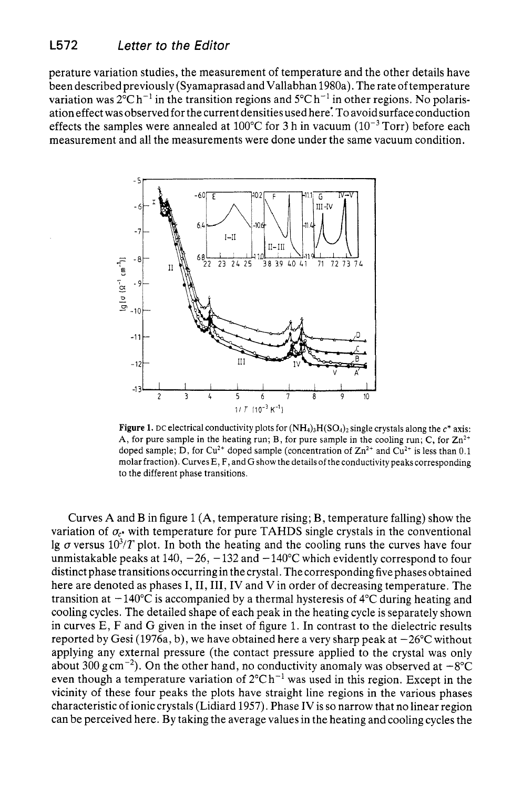perature variation studies, the measurement of temperature and the other details have been described previously (Syamaprasad and Vallabhan 1980a). The rate of temperature variation was  $2^{\circ}$ C h<sup>-1</sup> in the transition regions and  $5^{\circ}$ C h<sup>-1</sup> in other regions. No polarisation effect was observed for the current densities used here: To avoid surface conduction effects the samples were annealed at 100°C for 3 h in vacuum  $(10^{-3}$  Torr) before each measurement and all the measurements were done under the same vacuum condition.



**Figure 1.** DC electrical conductivity plots for  $(NH_4)_3H(SO_4)_2$  single crystals along the  $c^*$  axis: A, for pure sample in the heating run; B, for pure sample in the cooling run; C, for  $\text{Zn}^{2+}$ doped sample; D, for  $Cu^{2+}$  doped sample (concentration of  $Zn^{2+}$  and  $Cu^{2+}$  is less than 0.1 molar fraction). Curves E, F, and *G* show the details of the conductivity peaks corresponding to the different phase transitions.

Curves **A** and B in figure 1 **(A,** temperature rising; B, temperature falling) show the variation of  $\sigma_{c^*}$  with temperature for pure TAHDS single crystals in the conventional lg  $\sigma$  versus 10<sup>3</sup>/T plot. In both the heating and the cooling runs the curves have four unmistakable peaks at  $140, -26, -132$  and  $-140^{\circ}$ C which evidently correspond to four distinct phase transitions occurring in the crystal. The corresponding five phases obtained here are denoted as phases I, II, III, IV and V in order of decreasing temperature. The transition at  $-140^{\circ}$ C is accompanied by a thermal hysteresis of  $4^{\circ}$ C during heating and cooling cycles. The detailed shape of each peak in the heating cycle is separately shown in curves E, F and G given in the inset of figure 1. In contrast to the dielectric results reported by Gesi (1976a, b), we have obtained here a very sharp peak at  $-26^{\circ}$ C without applying any external pressure (the contact pressure applied to the crystal was only about 300 g cm<sup>-2</sup>). On the other hand, no conductivity anomaly was observed at  $-8^{\circ}$ C even though a temperature variation of  $2^{\circ}Ch^{-1}$  was used in this region. Except in the vicinity of these four peaks the plots have straight line regions in the various phases characteristic of ionic crystals (Lidiard 1957). Phase IVis so narrow that no linear region can be perceived here. By taking the average values in the heating and cooling cycles the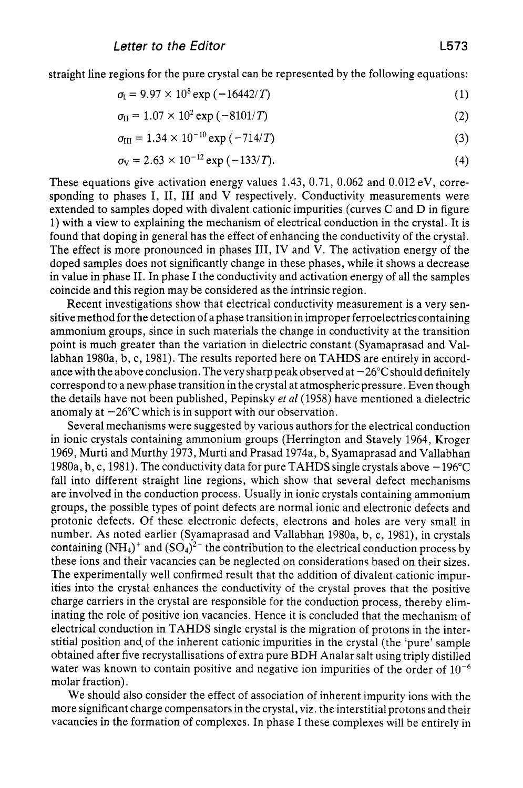straight line regions for the pure crystal can be represented by the following equations:

$$
\sigma_{I} = 9.97 \times 10^{8} \exp(-16442/T) \tag{1}
$$

$$
\sigma_{II} = 1.07 \times 10^2 \exp(-8101/T) \tag{2}
$$

$$
\sigma_{\text{III}} = 1.34 \times 10^{-10} \exp(-714/T) \tag{3}
$$

$$
\sigma_{\rm V} = 2.63 \times 10^{-12} \exp(-133/T). \tag{4}
$$

These equations give activation energy values 1.43, 0.71, 0.062 and 0.012 eV, corresponding to phases I, **11, I11** and V respectively. Conductivity measurements were extended to samples doped with divalent cationic impurities (curves C and D in figure 1) with a view to explaining the mechanism of electrical conduction in the crystal. It is found that doping in general has the effect of enhancing the conductivity of the crystal. The effect is more pronounced in phases **111,** IV and **V.** The activation energy of the doped samples does not significantly change in these phases, while it shows a decrease in value in phase 11. In phase I the conductivity and activation energy of all the samples coincide and this region may be considered as the intrinsic region.

Recent investigations show that electrical conductivity measurement is a very sensitive method for the detection of a phase transition in improper ferroelectrics containing ammonium groups, since in such materials the change in conductivity at the transition point is much greater than the variation in dielectric constant (Syamaprasad and Vallabhan 1980a, b, c, 1981). The results reported here on TAHDS are entirely in accordance with the above conclusion. The very sharp peak observed at  $-26^{\circ}$ C should definitely correspond to a new phase transition in the crystal at atmospheric pressure. Even though the details have not been published, Pepinsky *et a1* (1958) have mentioned a dielectric anomaly at  $-26^{\circ}$ C which is in support with our observation.

Several mechanisms were suggested by various authors for the electrical conduction in ionic crystals containing ammonium groups (Herrington and Stavely 1964, Kroger 1969, Murti and Murthy 1973, Murti and Prasad 1974a, b, Syamaprasad and Vallabhan 1980a, b, c, 1981). The conductivity data for pure TAHDS single crystals above  $-196^{\circ}$ C fall into different straight line regions, which show that several defect mechanisms are involved in the conduction process. Usually in ionic crystals containing ammonium groups, the possible types of point defects are normal ionic and electronic defects and protonic defects. Of these electronic defects, electrons and holes are very small in number. **As** noted earlier (Syamaprasad and Vallabhan 1980a, b, c, 1981), in crystals containing  $(NH_4)^+$  and  $(SO_4)^2$ <sup>-</sup> the contribution to the electrical conduction process by these ions and their vacancies can be neglected on considerations based on their sizes. The experimentally well confirmed result that the addition of divalent cationic impurities into the crystal enhances the conductivity of the crystal proves that the positive charge carriers in the crystal are responsible for the conduction process, thereby eliminating the role of positive ion vacancies. Hence it is concluded that the mechanism of electrical conduction in TAHDS single crystal is the migration of protons in the interstitial position and of the inherent cationic impurities in the crystal (the 'pure' sample obtained after five recrystallisations of extra pure BDH Analar salt using triply distilled water was known to contain positive and negative ion impurities of the order of  $10^{-6}$ molar fraction).

We should also consider the effect of association of inherent impurity ions with the more significant charge compensators in the crystal, viz. the interstitial protons and their vacancies in the formation of complexes. In phase I these complexes will be entirely in